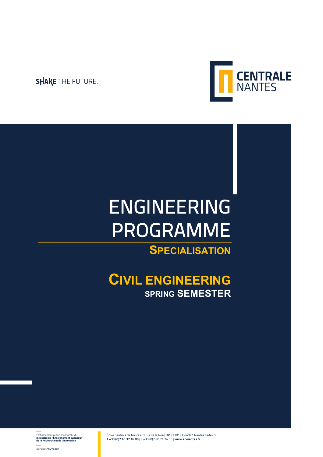### **SHAKE THE FUTURE.**



# ENGINEERING PROGRAMME

# **SPECIALISATION**

### **CIVIL ENGINEERING SPRING SEMESTER**

École Centrale de Nantes | 1 rue de la Noë | BP 92101 | F 44321 Nantes Cedex 3 **T +33 (0)2 40 37 16 00** | F +33 (0)2 40 74 74 06 | **www.ec-nantes.fr**

Établissement public sous tutelle du **ministère de l'Enseignement supérieur, de la Recherche et de l'Innovation**

GROUPE **CENTRALE**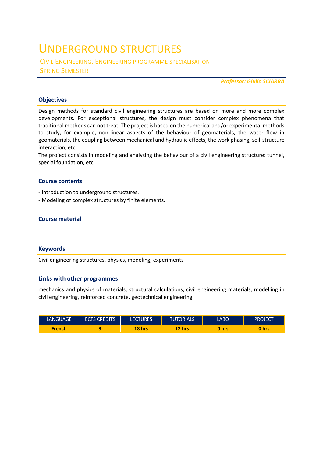## UNDERGROUND STRUCTURES

CIVIL ENGINEERING, ENGINEERING PROGRAMME SPECIALISATION SPRING SEMESTER

*Professor: Giulio SCIARRA* 

#### **Objectives**

Design methods for standard civil engineering structures are based on more and more complex developments. For exceptional structures, the design must consider complex phenomena that traditional methods can not treat. The project is based on the numerical and/or experimental methods to study, for example, non-linear aspects of the behaviour of geomaterials, the water flow in geomaterials, the coupling between mechanical and hydraulic effects, the work phasing, soil-structure interaction, etc.

The project consists in modeling and analysing the behaviour of a civil engineering structure: tunnel, special foundation, etc.

#### **Course contents**

- Introduction to underground structures.

- Modeling of complex structures by finite elements.

#### **Course material**

#### **Keywords**

Civil engineering structures, physics, modeling, experiments

#### **Links with other programmes**

mechanics and physics of materials, structural calculations, civil engineering materials, modelling in civil engineering, reinforced concrete, geotechnical engineering.

| <b>LANGUAGE</b> | <b>ECTS CREDITS</b> | <b>LECTURES</b> | <b>TUTORIALS</b> | LABO  | <b>PROJECT</b> |
|-----------------|---------------------|-----------------|------------------|-------|----------------|
| <b>French</b>   |                     | 18 hrs          | 12 hrs           | 0 hrs | 0 hrs          |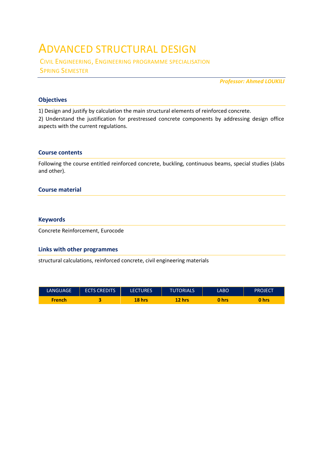### ADVANCED STRUCTURAL DESIGN

CIVIL ENGINEERING, ENGINEERING PROGRAMME SPECIALISATION SPRING SEMESTER

*Professor: Ahmed LOUKILI* 

#### **Objectives**

1) Design and justify by calculation the main structural elements of reinforced concrete.

2) Understand the justification for prestressed concrete components by addressing design office aspects with the current regulations.

#### **Course contents**

Following the course entitled reinforced concrete, buckling, continuous beams, special studies (slabs and other).

#### **Course material**

#### **Keywords**

Concrete Reinforcement, Eurocode

#### **Links with other programmes**

structural calculations, reinforced concrete, civil engineering materials

| <b>LANGUAGE</b> | <b>ECTS CREDITS</b> | <b>LECTURES</b> | <b>TUTORIALS</b> | LABO. | PROJECT |
|-----------------|---------------------|-----------------|------------------|-------|---------|
| <b>French</b>   |                     | 18 hrs          | 12 hrs           | 0 hrs | 0 hrs   |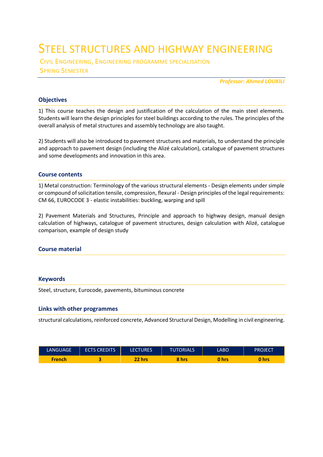# STEEL STRUCTURES AND HIGHWAY ENGINEERING

CIVIL ENGINEERING, ENGINEERING PROGRAMME SPECIALISATION SPRING SEMESTER

*Professor: Ahmed LOUKILI* 

#### **Objectives**

1) This course teaches the design and justification of the calculation of the main steel elements. Students will learn the design principles for steel buildings according to the rules. The principles of the overall analysis of metal structures and assembly technology are also taught.

2) Students will also be introduced to pavement structures and materials, to understand the principle and approach to pavement design (including the Alizé calculation), catalogue of pavement structures and some developments and innovation in this area.

#### **Course contents**

1) Metal construction: Terminology of the various structural elements - Design elements under simple or compound of solicitation tensile, compression, flexural - Design principles of the legal requirements: CM 66, EUROCODE 3 - elastic instabilities: buckling, warping and spill

2) Pavement Materials and Structures, Principle and approach to highway design, manual design calculation of highways, catalogue of pavement structures, design calculation with Alizé, catalogue comparison, example of design study

#### **Course material**

#### **Keywords**

Steel, structure, Eurocode, pavements, bituminous concrete

#### **Links with other programmes**

structural calculations, reinforced concrete, Advanced Structural Design, Modelling in civil engineering.

| LANGUAGE | <b>ECTS CREDITS</b> | <b>LECTURES</b> | <b>TUTORIALS</b> | LABO  | <b>PROJECT</b> |
|----------|---------------------|-----------------|------------------|-------|----------------|
| French   |                     | 22 hrs          | 8 hrs            | 0 hrs | 0 hrs          |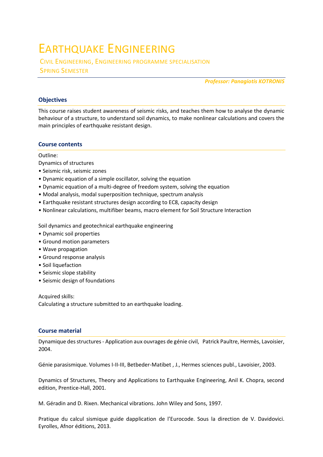# EARTHQUAKE ENGINEERING

CIVIL ENGINEERING, ENGINEERING PROGRAMME SPECIALISATION SPRING SEMESTER

*Professor: Panagiotis KOTRONIS* 

#### **Objectives**

This course raises student awareness of seismic risks, and teaches them how to analyse the dynamic behaviour of a structure, to understand soil dynamics, to make nonlinear calculations and covers the main principles of earthquake resistant design.

#### **Course contents**

Outline:

Dynamics of structures

- Seismic risk, seismic zones
- Dynamic equation of a simple oscillator, solving the equation
- Dynamic equation of a multi-degree of freedom system, solving the equation
- Modal analysis, modal superposition technique, spectrum analysis
- Earthquake resistant structures design according to EC8, capacity design
- Nonlinear calculations, multifiber beams, macro element for Soil Structure Interaction

Soil dynamics and geotechnical earthquake engineering

- Dynamic soil properties
- Ground motion parameters
- Wave propagation
- Ground response analysis
- Soil liquefaction
- Seismic slope stability
- Seismic design of foundations

Acquired skills: Calculating a structure submitted to an earthquake loading.

#### **Course material**

Dynamique des structures - Application aux ouvrages de génie civil, Patrick Paultre, Hermès, Lavoisier, 2004.

Génie parasismique. Volumes I-II-III, Betbeder-Matibet , J., Hermes sciences publ., Lavoisier, 2003.

Dynamics of Structures, Theory and Applications to Earthquake Engineering, Anil K. Chopra, second edition, Prentice-Hall, 2001.

M. Géradin and D. Rixen. Mechanical vibrations. John Wiley and Sons, 1997.

Pratique du calcul sismique guide dapplication de l'Eurocode. Sous la direction de V. Davidovici. Eyrolles, Afnor éditions, 2013.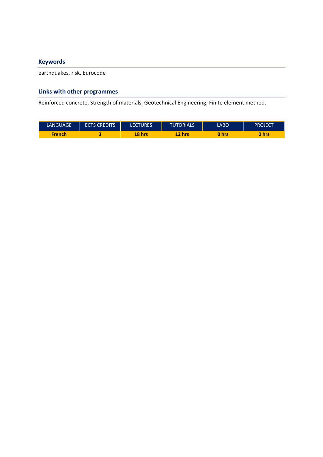#### **Keywords**

earthquakes, risk, Eurocode

#### **Links with other programmes**

Reinforced concrete, Strength of materials, Geotechnical Engineering, Finite element method.

| LANGUAGE      | <b>ECTS CREDITS'</b> | <b>LECTURES</b> | <b>TUTORIALS</b> | LABO  | <b>PROJECT</b> |
|---------------|----------------------|-----------------|------------------|-------|----------------|
| <b>French</b> |                      | 18 hrs          | 12 hrs           | 0 hrs | hrs            |